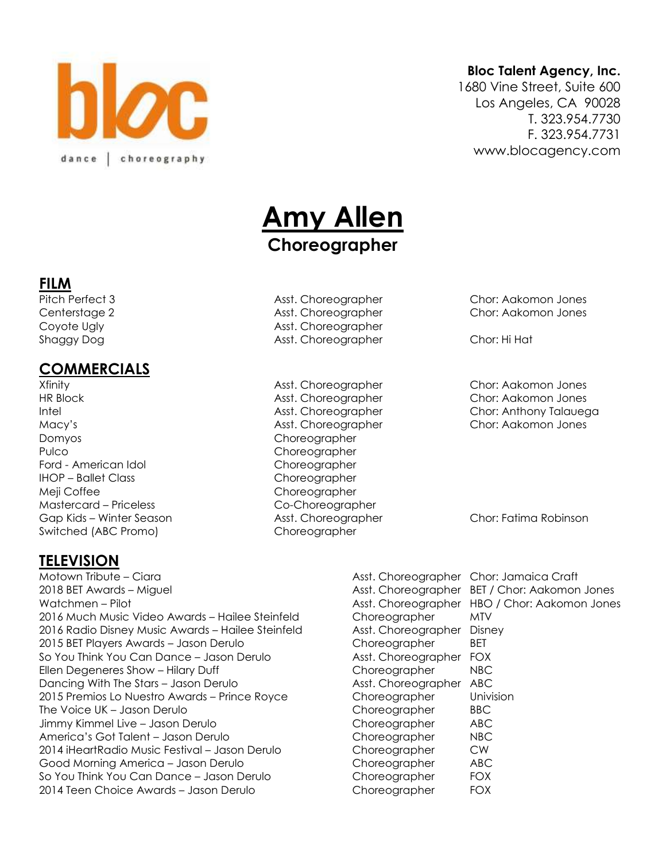

#### **Bloc Talent Agency, Inc.**

1680 Vine Street, Suite 600 Los Angeles, CA 90028 T. 323.954.7730 F. 323.954.7731 www.blocagency.com

# **Amy Allen Choreographer**

# Coyote Ugly **Asst. Choreographer** Shaggy Dog **Asst. Choreographer** Chor: Hi Hat

Xfinity Asst. Choreographer Chor: Aakomon Jones

Pitch Perfect 3 **Asst. Choreographer** Chor: Aakomon Jones Centerstage 2 Asst. Choreographer Chor: Aakomon Jones



**FILM**

## **COMMERCIALS**

HR Block Asst. Choreographer Chor: Aakomon Jones Intel Asst. Choreographer Chor: Anthony Talauega Macy's Asst. Choreographer Chor: Aakomon Jones Domyos Choreographer Pulco **Choreographer** Ford - American Idol Choreographer IHOP – Ballet Class Choreographer Meji Coffee Choreographer Mastercard – Priceless Co-Choreographer Gap Kids – Winter Season Asst. Choreographer Chor: Fatima Robinson Switched (ABC Promo) Choreographer

### **TELEVISION**

Motown Tribute – Ciara Asst. Choreographer Chor: Jamaica Craft 2018 BET Awards – Miguel Asst. Choreographer BET / Chor: Aakomon Jones Watchmen – Pilot **Asst. Choreographer HBO / Chor: Aakomon Jones** Asst. Choreographer HBO / Chor: Aakomon Jones 2016 Much Music Video Awards – Hailee Steinfeld Choreographer MTV 2016 Radio Disney Music Awards – Hailee Steinfeld Asst. Choreographer Disney 2015 BET Players Awards – Jason Derulo Choreographer BET So You Think You Can Dance – Jason Derulo Asst. Choreographer FOX Ellen Degeneres Show – Hilary Duff Choreographer NBC Dancing With The Stars – Jason Derulo **Asst. Choreographer ABC** 2015 Premios Lo Nuestro Awards – Prince Royce Choreographer Univision The Voice UK – Jason Derulo Choreographer BBC Jimmy Kimmel Live – Jason Derulo **Choreographer** ABC America's Got Talent – Jason Derulo **Choreographer** NBC 2014 iHeartRadio Music Festival – Jason Derulo Choreographer CW Good Morning America – Jason Derulo Choreographer ABC So You Think You Can Dance – Jason Derulo Choreographer FOX 2014 Teen Choice Awards – Jason Derulo Choreographer FOX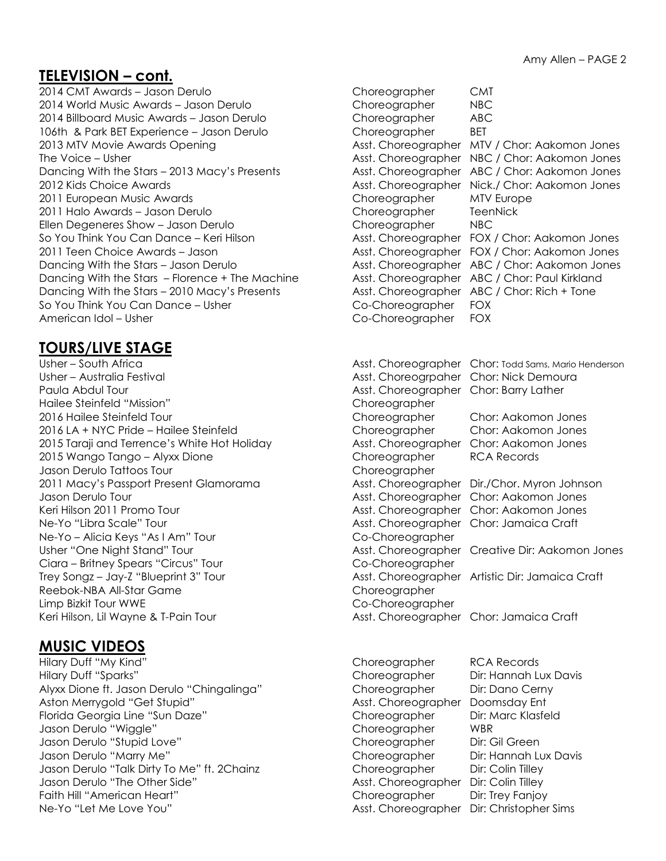#### **TELEVISION – cont.**

2014 CMT Awards – Jason Derulo Choreographer CMT 2014 World Music Awards – Jason Derulo Choreographer NBC 2014 Billboard Music Awards – Jason Derulo Choreographer ABC 106th & Park BET Experience – Jason Derulo Choreographer BET 2011 European Music Awards **Choreographer MTV Europe** 2011 Halo Awards – Jason Derulo Choreographer TeenNick Ellen Degeneres Show – Jason Derulo Choreographer MBC Dancing With the Stars – Florence + The Machine Asst. Choreographer ABC / Chor: Paul Kirkland Dancing With the Stars – 2010 Macy's Presents Asst. Choreographer ABC / Chor: Rich + Tone So You Think You Can Dance – Usher Communication Co-Choreographer FOX American Idol – Usher Communication Co-Choreographer FOX

## **TOURS/LIVE STAGE**

Usher – Australia Festival **Asst. Choreogrpaher Chor: Nick Demoura** Paula Abdul Tour **Asst. Choreographer Chor: Barry Lather** Choreographer Chor: Barry Lather Hailee Steinfeld "Mission" Choreographer 2016 Hailee Steinfeld Tour Choreographer Chor: Aakomon Jones 2016 LA + NYC Pride – Hailee Steinfeld Choreographer Chor: Aakomon Jones 2015 Taraji and Terrence's White Hot Holiday **Asst. Choreographer Chor: Aakomon Jones** 2015 Wango Tango – Alyxx Dione Choreographer RCA Records Jason Derulo Tattoos Tour Choreographer 2011 Macy's Passport Present Glamorama Asst. Choreographer Dir./Chor. Myron Johnson Jason Derulo Tour Asst. Choreographer Chor: Aakomon Jones Keri Hilson 2011 Promo Tour **Asst. Choreographer Chor: Aakomon Jones** Asst. Choreographer Chor: Aakomon Jones Ne-Yo "Libra Scale" Tour Network Choreographer Chor: Jamaica Craft Ne-Yo – Alicia Keys "As I Am" Tour Co-Choreographer Usher "One Night Stand" Tour **Asst. Choreographer Creative Dir: Aakomon Jones** Asst. Choreographer Creative Dir: Aakomon Jones Ciara – Britney Spears "Circus" Tour Communication Co-Choreographer Trey Songz – Jay-Z "Blueprint 3" Tour Asst. Choreographer Artistic Dir: Jamaica Craft Reebok-NBA All-Star Game Choreographer Limp Bizkit Tour WWE Co-Choreographer Keri Hilson, Lil Wayne & T-Pain Tour **Asst. Choreographer Chor: Jamaica Craft** 

### **MUSIC VIDEOS**

Hilary Duff "My Kind" Choreographer RCA Records Hilary Duff "Sparks" Choreographer Dir: Hannah Lux Davis Alyxx Dione ft. Jason Derulo "Chingalinga" Choreographer Dir: Dano Cerny Aston Merrygold "Get Stupid" Asst. Choreographer Doomsday Ent Florida Georgia Line "Sun Daze" Choreographer Dir: Marc Klasfeld Jason Derulo "Wiggle" Choreographer WBR Jason Derulo "Stupid Love" Choreographer Dir: Gil Green Jason Derulo "Marry Me" Choreographer Dir: Hannah Lux Davis Jason Derulo "Talk Dirty To Me" ft. 2Chainz Choreographer Dir: Colin Tilley Jason Derulo "The Other Side" Asst. Choreographer Dir: Colin Tilley Faith Hill "American Heart" Choreographer Dir: Trey Fanjoy Ne-Yo "Let Me Love You" Asst. Choreographer Dir: Christopher Sims

2013 MTV Movie Awards Opening **Asst. Choreographer MTV / Chor: Aakomon Jones** Asst. Choreographer MTV / Chor: Aakomon Jones The Voice – Usher Asst. Choreographer NBC / Chor: Aakomon Jones Dancing With the Stars – 2013 Macy's Presents Asst. Choreographer ABC / Chor: Aakomon Jones 2012 Kids Choice Awards **Assemble 2012 Kids Choice Awards** Asst. Choreographer Nick./ Chor: Aakomon Jones So You Think You Can Dance – Keri Hilson Asst. Choreographer FOX / Chor: Aakomon Jones 2011 Teen Choice Awards - Jason Asst. Choreographer FOX / Chor: Aakomon Jones Dancing With the Stars – Jason Derulo **Asst. Choreographer ABC / Chor: Aakomon Jones** Choreographer ABC / Chor: Aakomon Jones Usher – South Africa Asst. Choreographer Chor: Todd Sams, Mario Henderson

- 
- -
	-
	-
	-
	-